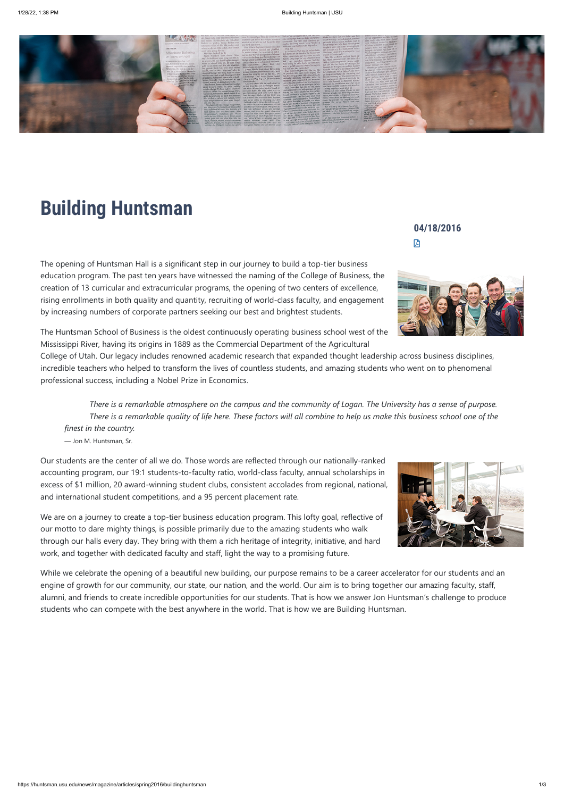

## **04/18/2016** 团



## **Building Huntsman**

The opening of Huntsman Hall is a significant step in our journey to build a top-tier business education program. The past ten years have witnessed the naming of the College of Business, the creation of 13 curricular and extracurricular programs, the opening of two centers of excellence, rising enrollments in both quality and quantity, recruiting of world-class faculty, and engagement by increasing numbers of corporate partners seeking our best and brightest students.

The Huntsman School of Business is the oldest continuously operating business school west of the Mississippi River, having its origins in 1889 as the Commercial Department of the Agricultural

College of Utah. Our legacy includes renowned academic research that expanded thought leadership across business disciplines, incredible teachers who helped to transform the lives of countless students, and amazing students who went on to phenomenal professional success, including a Nobel Prize in Economics.

*There is a remarkable atmosphere on the campus and the community of Logan. The University has a sense of purpose. There is a remarkable quality of life here. These factors will all combine to help us make this business school one of the finest in the country.*

— Jon M. Huntsman, Sr.

Our students are the center of all we do. Those words are reflected through our nationally-ranked accounting program, our 19:1 students-to-faculty ratio, world-class faculty, annual scholarships in excess of \$1 million, 20 award-winning student clubs, consistent accolades from regional, national, and international student competitions, and a 95 percent placement rate.

We are on a journey to create a top-tier business education program. This lofty goal, reflective of our motto to dare mighty things, is possible primarily due to the amazing students who walk through our halls every day. They bring with them a rich heritage of integrity, initiative, and hard work, and together with dedicated faculty and staff, light the way to a promising future.





students who can compete with the best anywhere in the world. That is how we are Building Huntsman.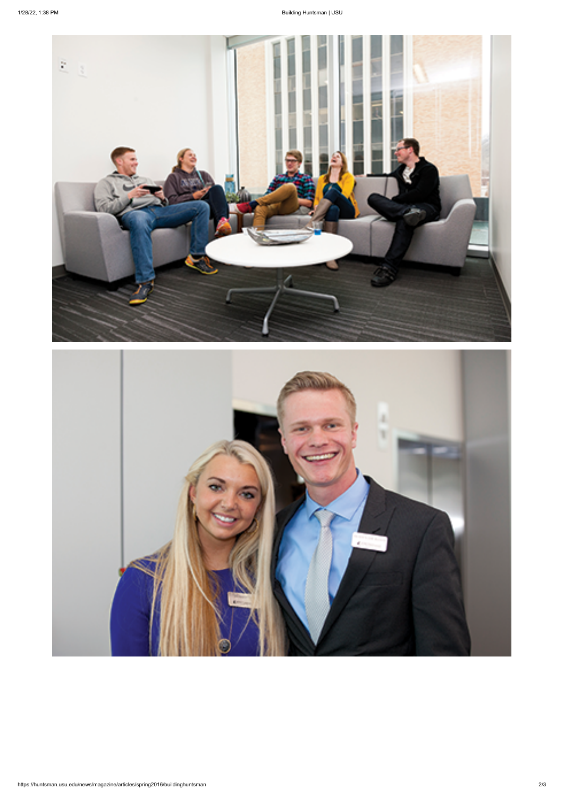